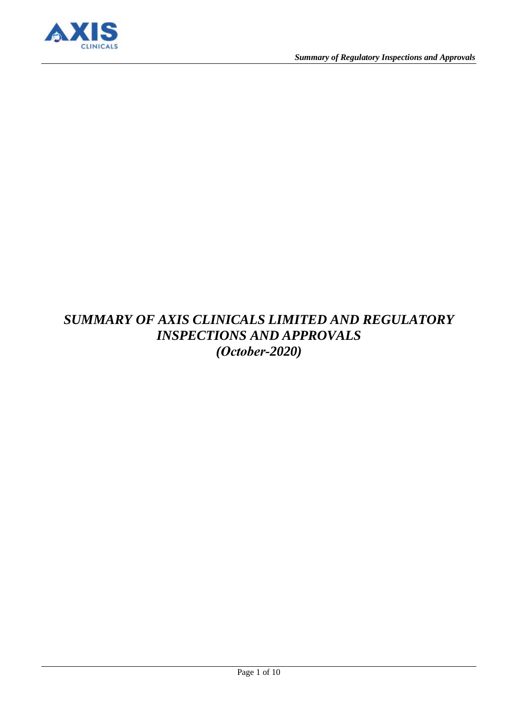

# *SUMMARY OF AXIS CLINICALS LIMITED AND REGULATORY INSPECTIONS AND APPROVALS (October-2020)*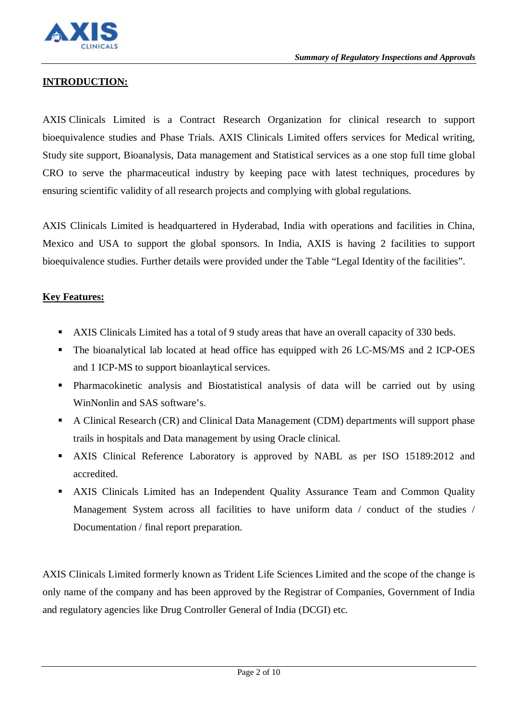

# **INTRODUCTION:**

AXIS Clinicals Limited is a Contract Research Organization for clinical research to support bioequivalence studies and Phase Trials. AXIS Clinicals Limited offers services for Medical writing, Study site support, Bioanalysis, Data management and Statistical services as a one stop full time global CRO to serve the pharmaceutical industry by keeping pace with latest techniques, procedures by ensuring scientific validity of all research projects and complying with global regulations.

AXIS Clinicals Limited is headquartered in Hyderabad, India with operations and facilities in China, Mexico and USA to support the global sponsors. In India, AXIS is having 2 facilities to support bioequivalence studies. Further details were provided under the Table "Legal Identity of the facilities".

#### **Key Features:**

- AXIS Clinicals Limited has a total of 9 study areas that have an overall capacity of 330 beds.
- The bioanalytical lab located at head office has equipped with 26 LC-MS/MS and 2 ICP-OES and 1 ICP-MS to support bioanlaytical services.
- Pharmacokinetic analysis and Biostatistical analysis of data will be carried out by using WinNonlin and SAS software's.
- A Clinical Research (CR) and Clinical Data Management (CDM) departments will support phase trails in hospitals and Data management by using Oracle clinical.
- AXIS Clinical Reference Laboratory is approved by NABL as per ISO 15189:2012 and accredited.
- AXIS Clinicals Limited has an Independent Quality Assurance Team and Common Quality Management System across all facilities to have uniform data / conduct of the studies / Documentation / final report preparation.

AXIS Clinicals Limited formerly known as Trident Life Sciences Limited and the scope of the change is only name of the company and has been approved by the Registrar of Companies, Government of India and regulatory agencies like Drug Controller General of India (DCGI) etc.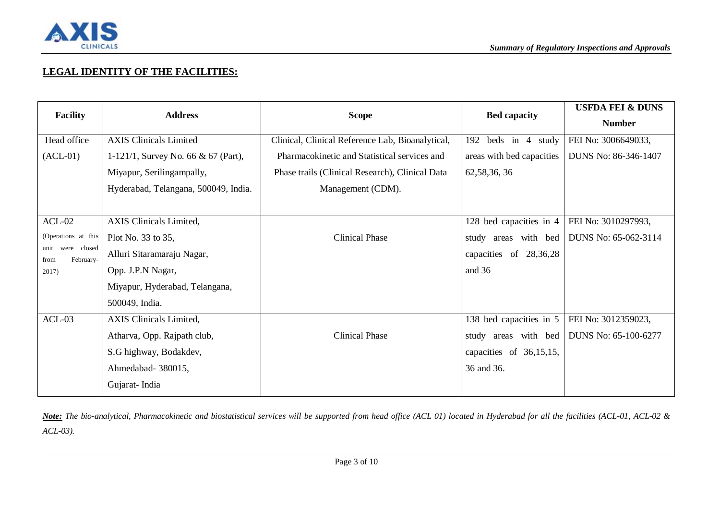

# **LEGAL IDENTITY OF THE FACILITIES:**

| <b>Facility</b>                          | <b>Address</b>                       | <b>Scope</b>                                     | <b>Bed capacity</b>       | <b>USFDA FEI &amp; DUNS</b> |
|------------------------------------------|--------------------------------------|--------------------------------------------------|---------------------------|-----------------------------|
|                                          |                                      |                                                  |                           | <b>Number</b>               |
| Head office                              | <b>AXIS Clinicals Limited</b>        | Clinical, Clinical Reference Lab, Bioanalytical, | 192<br>beds in 4 study    | FEI No: 3006649033,         |
| $(ACL-01)$                               | 1-121/1, Survey No. 66 & 67 (Part),  | Pharmacokinetic and Statistical services and     | areas with bed capacities | DUNS No: 86-346-1407        |
|                                          | Miyapur, Serilingampally,            | Phase trails (Clinical Research), Clinical Data  | 62, 58, 36, 36            |                             |
|                                          | Hyderabad, Telangana, 500049, India. | Management (CDM).                                |                           |                             |
|                                          |                                      |                                                  |                           |                             |
| $ACL-02$                                 | <b>AXIS</b> Clinicals Limited,       |                                                  | 128 bed capacities in 4   | FEI No: 3010297993,         |
| (Operations at this                      | Plot No. 33 to 35,                   | <b>Clinical Phase</b>                            | study areas with bed      | DUNS No: 65-062-3114        |
| were closed<br>unit<br>February-<br>from | Alluri Sitaramaraju Nagar,           |                                                  | capacities of 28,36,28    |                             |
| 2017)                                    | Opp. J.P.N Nagar,                    |                                                  | and 36                    |                             |
|                                          | Miyapur, Hyderabad, Telangana,       |                                                  |                           |                             |
|                                          | 500049, India.                       |                                                  |                           |                             |
| $ACL-03$                                 | AXIS Clinicals Limited,              |                                                  | 138 bed capacities in 5   | FEI No: 3012359023,         |
|                                          | Atharva, Opp. Rajpath club,          | <b>Clinical Phase</b>                            | study areas with bed      | DUNS No: 65-100-6277        |
|                                          | S.G highway, Bodakdev,               |                                                  | capacities of 36,15,15,   |                             |
|                                          | Ahmedabad- 380015,                   |                                                  | 36 and 36.                |                             |
|                                          | Gujarat-India                        |                                                  |                           |                             |

*Note: The bio-analytical, Pharmacokinetic and biostatistical services will be supported from head office (ACL 01) located in Hyderabad for all the facilities (ACL-01, ACL-02 & ACL-03).*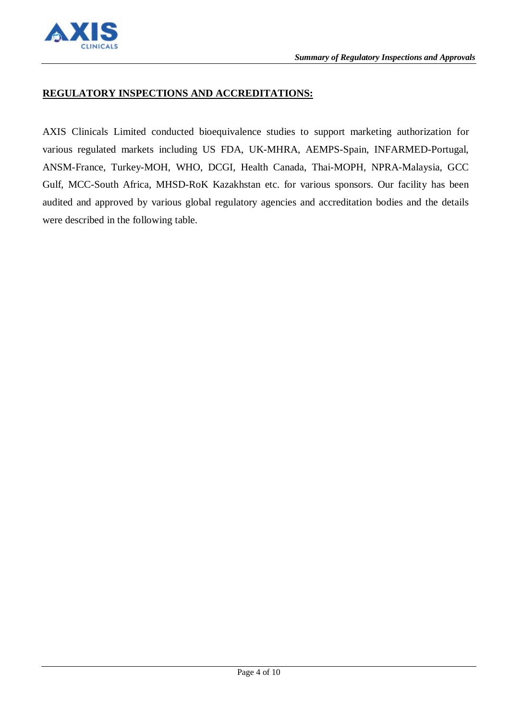

#### **REGULATORY INSPECTIONS AND ACCREDITATIONS:**

AXIS Clinicals Limited conducted bioequivalence studies to support marketing authorization for various regulated markets including US FDA, UK-MHRA, AEMPS-Spain, INFARMED-Portugal, ANSM-France, Turkey-MOH, WHO, DCGI, Health Canada, Thai-MOPH, NPRA-Malaysia, GCC Gulf, MCC-South Africa, MHSD-RoK Kazakhstan etc. for various sponsors. Our facility has been audited and approved by various global regulatory agencies and accreditation bodies and the details were described in the following table.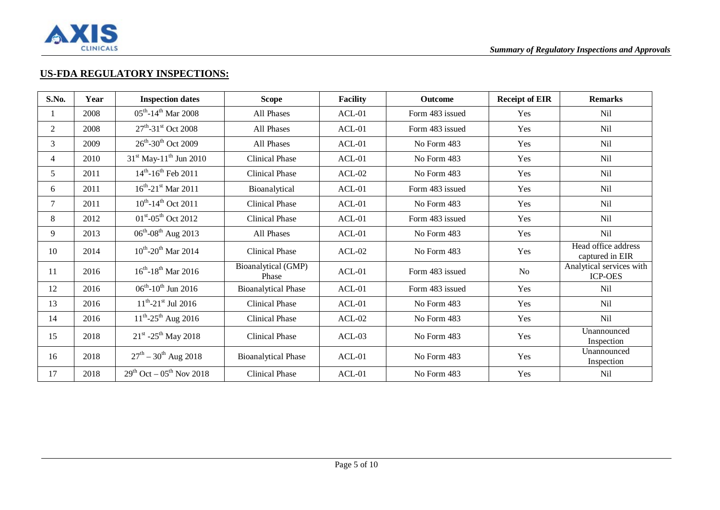

### **US-FDA REGULATORY INSPECTIONS:**

| S.No.  | Year | <b>Inspection dates</b>                     | <b>Scope</b>                 | <b>Facility</b> | <b>Outcome</b>  | <b>Receipt of EIR</b> | <b>Remarks</b>                             |
|--------|------|---------------------------------------------|------------------------------|-----------------|-----------------|-----------------------|--------------------------------------------|
|        | 2008 | $05^{\text{th}} - 14^{\text{th}}$ Mar 2008  | All Phases                   | $ACL-01$        | Form 483 issued | Yes                   | <b>Nil</b>                                 |
| 2      | 2008 | $27^{\text{th}}$ -31 <sup>st</sup> Oct 2008 | All Phases                   | $ACL-01$        | Form 483 issued | Yes                   | <b>Nil</b>                                 |
| 3      | 2009 | $26^{\text{th}} - 30^{\text{th}}$ Oct 2009  | All Phases                   | $ACL-01$        | No Form 483     | Yes                   | <b>Nil</b>                                 |
| 4      | 2010 | $31st$ May-11 <sup>th</sup> Jun 2010        | <b>Clinical Phase</b>        | $ACL-01$        | No Form 483     | Yes                   | <b>Nil</b>                                 |
| 5      | 2011 | $14^{th}$ -16 <sup>th</sup> Feb 2011        | <b>Clinical Phase</b>        | $ACL-02$        | No Form 483     | Yes                   | Nil                                        |
| 6      | 2011 | $16^{th}$ -21 <sup>st</sup> Mar 2011        | Bioanalytical                | $ACL-01$        | Form 483 issued | Yes                   | Nil                                        |
| $\tau$ | 2011 | $10^{th}$ -14 <sup>th</sup> Oct 2011        | <b>Clinical Phase</b>        | $ACL-01$        | No Form 483     | Yes                   | N <sub>i</sub>                             |
| 8      | 2012 | $01^{\text{st}} - 05^{\text{th}}$ Oct 2012  | <b>Clinical Phase</b>        | $ACL-01$        | Form 483 issued | Yes                   | N <sub>i</sub>                             |
| 9      | 2013 | $06^{\rm th}\text{-}08^{\rm th}$ Aug $2013$ | All Phases                   | $ACL-01$        | No Form 483     | Yes                   | Nil                                        |
| 10     | 2014 | $10^{th}$ -20 <sup>th</sup> Mar 2014        | <b>Clinical Phase</b>        | $ACL-02$        | No Form 483     | Yes                   | Head office address<br>captured in EIR     |
| 11     | 2016 | $16^{th} - 18^{th}$ Mar 2016                | Bioanalytical (GMP)<br>Phase | $ACL-01$        | Form 483 issued | No                    | Analytical services with<br><b>ICP-OES</b> |
| 12     | 2016 | $06^{\text{th}} - 10^{\text{th}}$ Jun 2016  | <b>Bioanalytical Phase</b>   | $ACL-01$        | Form 483 issued | Yes                   | Nil                                        |
| 13     | 2016 | $11^{th}$ -21 <sup>st</sup> Jul 2016        | <b>Clinical Phase</b>        | $ACL-01$        | No Form 483     | Yes                   | <b>Nil</b>                                 |
| 14     | 2016 | $11^{th}$ -25 <sup>th</sup> Aug 2016        | <b>Clinical Phase</b>        | $ACL-02$        | No Form 483     | Yes                   | Nil                                        |
| 15     | 2018 | $21^{\rm st}$ -25 <sup>th</sup> May 2018    | <b>Clinical Phase</b>        | $ACL-03$        | No Form 483     | Yes                   | Unannounced<br>Inspection                  |
| 16     | 2018 | $27^{th} - 30^{th}$ Aug 2018                | <b>Bioanalytical Phase</b>   | $ACL-01$        | No Form 483     | Yes                   | Unannounced<br>Inspection                  |
| 17     | 2018 | $29^{th}$ Oct – 05 <sup>th</sup> Nov 2018   | <b>Clinical Phase</b>        | $ACL-01$        | No Form 483     | Yes                   | <b>Nil</b>                                 |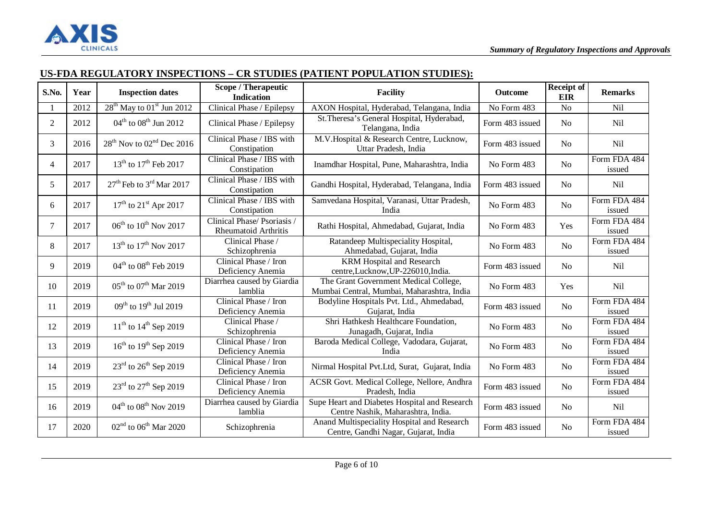

# **US-FDA REGULATORY INSPECTIONS – CR STUDIES (PATIENT POPULATION STUDIES):**

| S.No.          | Year | <b>Inspection dates</b>                           | <b>Scope / Therapeutic</b><br><b>Indication</b>    | <b>Facility</b>                                                                     | <b>Outcome</b>  | Receipt of<br><b>EIR</b> | <b>Remarks</b>         |
|----------------|------|---------------------------------------------------|----------------------------------------------------|-------------------------------------------------------------------------------------|-----------------|--------------------------|------------------------|
|                | 2012 | 28 <sup>th</sup> May to 01 <sup>st</sup> Jun 2012 | Clinical Phase / Epilepsy                          | AXON Hospital, Hyderabad, Telangana, India                                          | No Form 483     | N <sub>o</sub>           | Nil                    |
| $\overline{2}$ | 2012 | $04^{\text{th}}$ to $08^{\text{th}}$ Jun 2012     | Clinical Phase / Epilepsy                          | St. Theresa's General Hospital, Hyderabad,<br>Telangana, India                      | Form 483 issued | N <sub>0</sub>           | Nil                    |
| 3              | 2016 | $28th$ Nov to $02nd$ Dec 2016                     | Clinical Phase / IBS with<br>Constipation          | M.V.Hospital & Research Centre, Lucknow,<br>Uttar Pradesh, India                    | Form 483 issued | <b>No</b>                | Nil                    |
| $\overline{4}$ | 2017 | $13^{th}$ to $17^{th}$ Feb 2017                   | Clinical Phase / IBS with<br>Constipation          | Inamdhar Hospital, Pune, Maharashtra, India                                         | No Form 483     | No                       | Form FDA 484<br>issued |
| 5              | 2017 | $27th$ Feb to 3 <sup>rd</sup> Mar 2017            | Clinical Phase / IBS with<br>Constipation          | Gandhi Hospital, Hyderabad, Telangana, India                                        | Form 483 issued | N <sub>0</sub>           | Nil                    |
| 6              | 2017 | $17^{\text{th}}$ to $21^{\text{st}}$ Apr 2017     | Clinical Phase / IBS with<br>Constipation          | Samvedana Hospital, Varanasi, Uttar Pradesh,<br>India                               | No Form 483     | <b>No</b>                | Form FDA 484<br>issued |
| 7              | 2017 | $06^{th}$ to $10^{th}$ Nov 2017                   | Clinical Phase/Psoriasis /<br>Rheumatoid Arthritis | Rathi Hospital, Ahmedabad, Gujarat, India                                           | No Form 483     | Yes                      | Form FDA 484<br>issued |
| 8              | 2017 | $13^{th}$ to $17^{th}$ Nov 2017                   | Clinical Phase /<br>Schizophrenia                  | Ratandeep Multispeciality Hospital,<br>Ahmedabad, Gujarat, India                    | No Form 483     | N <sub>o</sub>           | Form FDA 484<br>issued |
| 9              | 2019 | $04^{th}$ to $08^{th}$ Feb 2019                   | Clinical Phase / Iron<br>Deficiency Anemia         | <b>KRM Hospital and Research</b><br>centre,Lucknow,UP-226010,India.                 | Form 483 issued | <b>No</b>                | Nil                    |
| 10             | 2019 | $05^{th}$ to $07^{th}$ Mar 2019                   | Diarrhea caused by Giardia<br>lamblia              | The Grant Government Medical College,<br>Mumbai Central, Mumbai, Maharashtra, India | No Form 483     | Yes                      | Nil                    |
| 11             | 2019 | $09^{th}$ to $19^{th}$ Jul 2019                   | Clinical Phase / Iron<br>Deficiency Anemia         | Bodyline Hospitals Pvt. Ltd., Ahmedabad,<br>Gujarat, India                          | Form 483 issued | N <sub>o</sub>           | Form FDA 484<br>issued |
| 12             | 2019 | $11^{th}$ to $14^{th}$ Sep 2019                   | Clinical Phase /<br>Schizophrenia                  | Shri Hathkesh Healthcare Foundation,<br>Junagadh, Gujarat, India                    | No Form 483     | N <sub>o</sub>           | Form FDA 484<br>issued |
| 13             | 2019 | $16^{\text{th}}$ to $19^{\text{th}}$ Sep 2019     | Clinical Phase / Iron<br>Deficiency Anemia         | Baroda Medical College, Vadodara, Gujarat,<br>India                                 | No Form 483     | N <sub>o</sub>           | Form FDA 484<br>issued |
| 14             | 2019 | $23^{\text{rd}}$ to $26^{\text{th}}$ Sep 2019     | Clinical Phase / Iron<br>Deficiency Anemia         | Nirmal Hospital Pvt.Ltd, Surat, Gujarat, India                                      | No Form 483     | N <sub>o</sub>           | Form FDA 484<br>issued |
| 15             | 2019 | 23rd to 27 <sup>th</sup> Sep 2019                 | Clinical Phase / Iron<br>Deficiency Anemia         | ACSR Govt. Medical College, Nellore, Andhra<br>Pradesh, India                       | Form 483 issued | N <sub>o</sub>           | Form FDA 484<br>issued |
| 16             | 2019 | $04^{th}$ to $08^{th}$ Nov 2019                   | Diarrhea caused by Giardia<br>lamblia              | Supe Heart and Diabetes Hospital and Research<br>Centre Nashik, Maharashtra, India. | Form 483 issued | N <sub>o</sub>           | Nil                    |
| 17             | 2020 | $02nd$ to $06th$ Mar 2020                         | Schizophrenia                                      | Anand Multispeciality Hospital and Research<br>Centre, Gandhi Nagar, Gujarat, India | Form 483 issued | N <sub>o</sub>           | Form FDA 484<br>issued |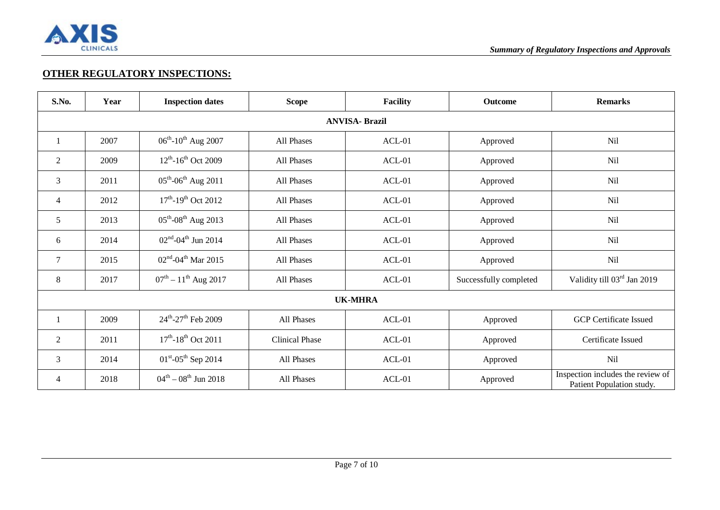

### **OTHER REGULATORY INSPECTIONS:**

| S.No.          | Year                  | <b>Inspection dates</b>                     | <b>Scope</b>          | <b>Facility</b> | <b>Outcome</b>         | <b>Remarks</b>                                                 |  |  |  |
|----------------|-----------------------|---------------------------------------------|-----------------------|-----------------|------------------------|----------------------------------------------------------------|--|--|--|
|                | <b>ANVISA- Brazil</b> |                                             |                       |                 |                        |                                                                |  |  |  |
| -1             | 2007                  | $06^{th}$ -10 <sup>th</sup> Aug 2007        | All Phases            | $ACL-01$        | Approved               | Nil                                                            |  |  |  |
| 2              | 2009                  | $12^{th}$ -16 <sup>th</sup> Oct 2009        | All Phases            | $ACL-01$        | Approved               | Nil                                                            |  |  |  |
| 3              | 2011                  | $05^{th}$ -06 <sup>th</sup> Aug 2011        | All Phases            | $ACL-01$        | Approved               | Nil                                                            |  |  |  |
| $\overline{4}$ | 2012                  | $17^{\text{th}} - 19^{\text{th}}$ Oct 2012  | All Phases            | $ACL-01$        | Approved               | Nil                                                            |  |  |  |
| 5              | 2013                  | $05^{\text{th}}$ -08 <sup>th</sup> Aug 2013 | All Phases            | $ACL-01$        | Approved               | Nil                                                            |  |  |  |
| 6              | 2014                  | $02^{\text{nd}} - 04^{\text{th}}$ Jun 2014  | All Phases            | $ACL-01$        | Approved               | Nil                                                            |  |  |  |
| 7              | 2015                  | $02nd - 04th$ Mar 2015                      | All Phases            | $ACL-01$        | Approved               | Nil                                                            |  |  |  |
| 8              | 2017                  | $07^{\text{th}} - 11^{\text{th}}$ Aug 2017  | All Phases            | $ACL-01$        | Successfully completed | Validity till 03rd Jan 2019                                    |  |  |  |
|                |                       |                                             |                       | <b>UK-MHRA</b>  |                        |                                                                |  |  |  |
|                | 2009                  | $24^{\text{th}} - 27^{\text{th}}$ Feb 2009  | All Phases            | $ACL-01$        | Approved               | <b>GCP</b> Certificate Issued                                  |  |  |  |
| $\overline{2}$ | 2011                  | $17^{th}$ -18 <sup>th</sup> Oct 2011        | <b>Clinical Phase</b> | $ACL-01$        | Approved               | Certificate Issued                                             |  |  |  |
| 3              | 2014                  | $01^{\text{st}}$ -05 <sup>th</sup> Sep 2014 | All Phases            | $ACL-01$        | Approved               | Nil                                                            |  |  |  |
| $\overline{4}$ | 2018                  | $04^{\text{th}} - 08^{\text{th}}$ Jun 2018  | All Phases            | $ACL-01$        | Approved               | Inspection includes the review of<br>Patient Population study. |  |  |  |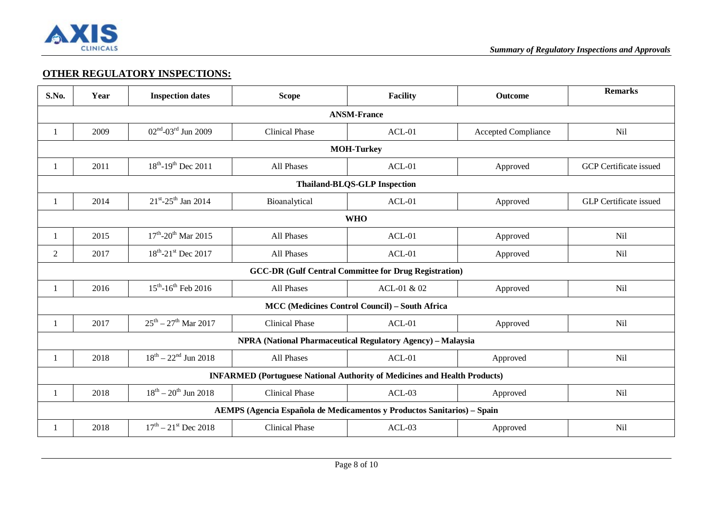

### **OTHER REGULATORY INSPECTIONS:**

| S.No.              | Year                                                                             | <b>Inspection dates</b>                     | <b>Scope</b>                                                            | <b>Facility</b>                                              | Outcome                    | <b>Remarks</b>                |  |  |
|--------------------|----------------------------------------------------------------------------------|---------------------------------------------|-------------------------------------------------------------------------|--------------------------------------------------------------|----------------------------|-------------------------------|--|--|
| <b>ANSM-France</b> |                                                                                  |                                             |                                                                         |                                                              |                            |                               |  |  |
| 1                  | 2009                                                                             | $02^{\text{nd}} - 03^{\text{rd}}$ Jun 2009  | <b>Clinical Phase</b>                                                   | $ACL-01$                                                     | <b>Accepted Compliance</b> | <b>Nil</b>                    |  |  |
|                    | <b>MOH-Turkey</b>                                                                |                                             |                                                                         |                                                              |                            |                               |  |  |
|                    | 2011                                                                             | $18^{th}$ -19 <sup>th</sup> Dec 2011        | All Phases                                                              | $ACL-01$                                                     | Approved                   | <b>GCP</b> Certificate issued |  |  |
|                    | <b>Thailand-BLQS-GLP Inspection</b>                                              |                                             |                                                                         |                                                              |                            |                               |  |  |
| 1                  | 2014                                                                             | $21^{\text{st}} - 25^{\text{th}}$ Jan 2014  | Bioanalytical                                                           | $ACL-01$                                                     | Approved                   | <b>GLP</b> Certificate issued |  |  |
|                    | <b>WHO</b>                                                                       |                                             |                                                                         |                                                              |                            |                               |  |  |
| 1                  | 2015                                                                             | $17^{\text{th}}$ -20 <sup>th</sup> Mar 2015 | All Phases                                                              | $ACL-01$                                                     | Approved                   | Nil                           |  |  |
| $\overline{2}$     | 2017                                                                             | $18^{th}$ -21 <sup>st</sup> Dec 2017        | All Phases                                                              | $ACL-01$                                                     | Approved                   | Nil                           |  |  |
|                    |                                                                                  |                                             |                                                                         | <b>GCC-DR (Gulf Central Committee for Drug Registration)</b> |                            |                               |  |  |
| 1                  | 2016                                                                             | $15^{th}$ -16 <sup>th</sup> Feb 2016        | All Phases                                                              | ACL-01 & 02                                                  | Approved                   | Nil                           |  |  |
|                    |                                                                                  |                                             |                                                                         | <b>MCC (Medicines Control Council) – South Africa</b>        |                            |                               |  |  |
| 1                  | 2017                                                                             | $25^{th} - 27^{th}$ Mar 2017                | <b>Clinical Phase</b>                                                   | $ACL-01$                                                     | Approved                   | Nil                           |  |  |
|                    |                                                                                  |                                             | <b>NPRA (National Pharmaceutical Regulatory Agency) - Malaysia</b>      |                                                              |                            |                               |  |  |
| 1                  | 2018                                                                             | $18^{th} - 22^{nd}$ Jun 2018                | All Phases                                                              | $ACL-01$                                                     | Approved                   | <b>Nil</b>                    |  |  |
|                    | <b>INFARMED</b> (Portuguese National Authority of Medicines and Health Products) |                                             |                                                                         |                                                              |                            |                               |  |  |
|                    | 2018                                                                             | $18^{th} - 20^{th}$ Jun 2018                | <b>Clinical Phase</b>                                                   | $ACL-03$                                                     | Approved                   | <b>Nil</b>                    |  |  |
|                    |                                                                                  |                                             | AEMPS (Agencia Española de Medicamentos y Productos Sanitarios) - Spain |                                                              |                            |                               |  |  |
|                    | 2018                                                                             | $17^{\text{th}} - 21^{\text{st}}$ Dec 2018  | <b>Clinical Phase</b>                                                   | $ACL-03$                                                     | Approved                   | <b>Nil</b>                    |  |  |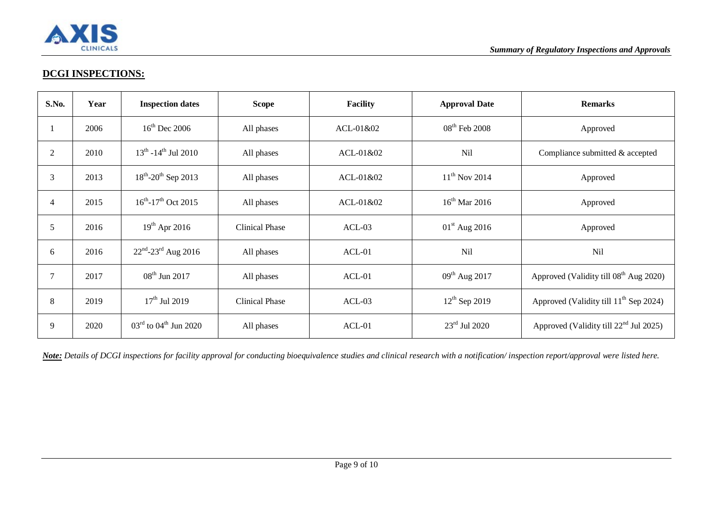

## **DCGI INSPECTIONS:**

| S.No.          | Year | <b>Inspection dates</b>                       | <b>Scope</b>          | <b>Facility</b> | <b>Approval Date</b>      | <b>Remarks</b>                                     |
|----------------|------|-----------------------------------------------|-----------------------|-----------------|---------------------------|----------------------------------------------------|
|                | 2006 | $16th$ Dec 2006                               | All phases            | ACL-01&02       | $08th$ Feb 2008           | Approved                                           |
| 2              | 2010 | $13^{th}$ -14 <sup>th</sup> Jul 2010          | All phases            | $ACL-01&02$     | Nil                       | Compliance submitted & accepted                    |
| 3              | 2013 | $18^{th}$ -20 <sup>th</sup> Sep 2013          | All phases            | ACL-01&02       | $11^{th}$ Nov 2014        | Approved                                           |
| $\overline{4}$ | 2015 | $16^{th}$ -17 <sup>th</sup> Oct 2015          | All phases            | ACL-01&02       | $16th$ Mar 2016           | Approved                                           |
| 5              | 2016 | $19^{th}$ Apr 2016                            | <b>Clinical Phase</b> | $ACL-03$        | $01st$ Aug 2016           | Approved                                           |
| 6              | 2016 | $22^{nd} - 23^{rd}$ Aug 2016                  | All phases            | $ACL-01$        | Nil                       | <b>Nil</b>                                         |
|                | 2017 | $08^{th}$ Jun 2017                            | All phases            | $ACL-01$        | $09^{th}$ Aug 2017        | Approved (Validity till 08 <sup>th</sup> Aug 2020) |
| 8              | 2019 | $17th$ Jul 2019                               | <b>Clinical Phase</b> | $ACL-03$        | $12^{th}$ Sep 2019        | Approved (Validity till 11 <sup>th</sup> Sep 2024) |
| 9              | 2020 | $03^{\text{rd}}$ to $04^{\text{th}}$ Jun 2020 | All phases            | $ACL-01$        | $23^{\text{rd}}$ Jul 2020 | Approved (Validity till 22 <sup>nd</sup> Jul 2025) |

*Note: Details of DCGI inspections for facility approval for conducting bioequivalence studies and clinical research with a notification/ inspection report/approval were listed here.*